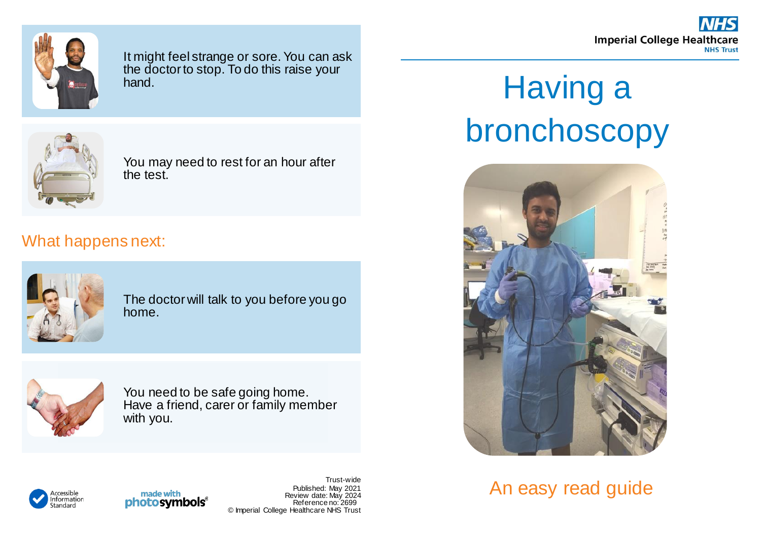**Imperial College Healthcare NHS Trust** 



It might feel strange or sore. You can ask the doctor to stop. To do this raise your hand.



You may need to rest for an hour after the test.

## What happens next:



The doctor will talk to you before you go home.



You need to be safe going home. Have a friend, carer or family member with you.

## Having a bronchoscopy



An easy read guide



made with **photosymbols**®

Trust-wide Published: May 2021 Review date: May 2024 Reference no: 2699 © Imperial College Healthcare NHS Trust